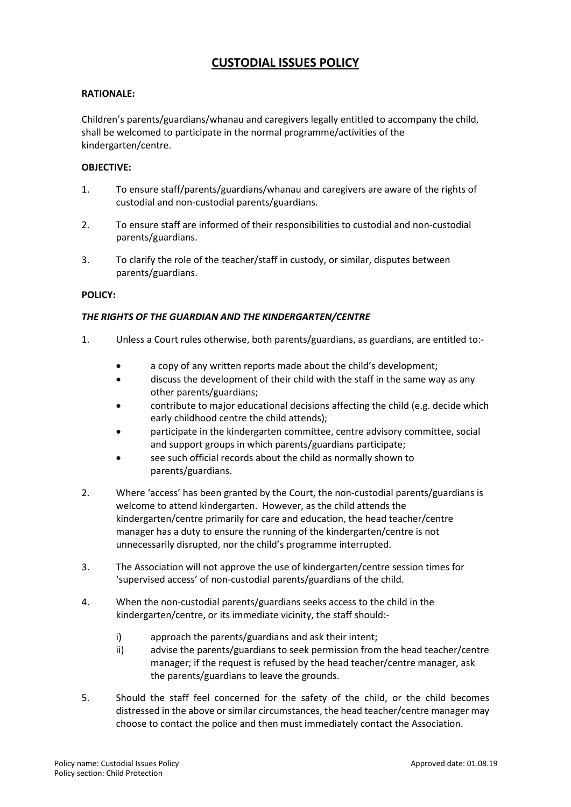# **CUSTODIAL ISSUES POLICY**

#### **RATIONALE:**

Children's parents/guardians/whanau and caregivers legally entitled to accompany the child, shall be welcomed to participate in the normal programme/activities of the kindergarten/centre.

#### **OBJECTIVE:**

- 1. To ensure staff/parents/guardians/whanau and caregivers are aware of the rights of custodial and non-custodial parents/guardians.
- 2. To ensure staff are informed of their responsibilities to custodial and non-custodial parents/guardians.
- 3. To clarify the role of the teacher/staff in custody, or similar, disputes between parents/guardians.

#### **POLICY:**

### *THE RIGHTS OF THE GUARDIAN AND THE KINDERGARTEN/CENTRE*

- 1. Unless a Court rules otherwise, both parents/guardians, as guardians, are entitled to:
	- a copy of any written reports made about the child's development;
	- discuss the development of their child with the staff in the same way as any other parents/guardians;
	- contribute to major educational decisions affecting the child (e.g. decide which early childhood centre the child attends);
	- participate in the kindergarten committee, centre advisory committee, social and support groups in which parents/guardians participate;
	- see such official records about the child as normally shown to parents/guardians.
- 2. Where 'access' has been granted by the Court, the non-custodial parents/guardians is welcome to attend kindergarten. However, as the child attends the kindergarten/centre primarily for care and education, the head teacher/centre manager has a duty to ensure the running of the kindergarten/centre is not unnecessarily disrupted, nor the child's programme interrupted.
- 3. The Association will not approve the use of kindergarten/centre session times for 'supervised access' of non-custodial parents/guardians of the child.
- 4. When the non-custodial parents/guardians seeks access to the child in the kindergarten/centre, or its immediate vicinity, the staff should:
	- i) approach the parents/guardians and ask their intent;
	- ii) advise the parents/guardians to seek permission from the head teacher/centre manager; if the request is refused by the head teacher/centre manager, ask the parents/guardians to leave the grounds.
- 5. Should the staff feel concerned for the safety of the child, or the child becomes distressed in the above or similar circumstances, the head teacher/centre manager may choose to contact the police and then must immediately contact the Association.